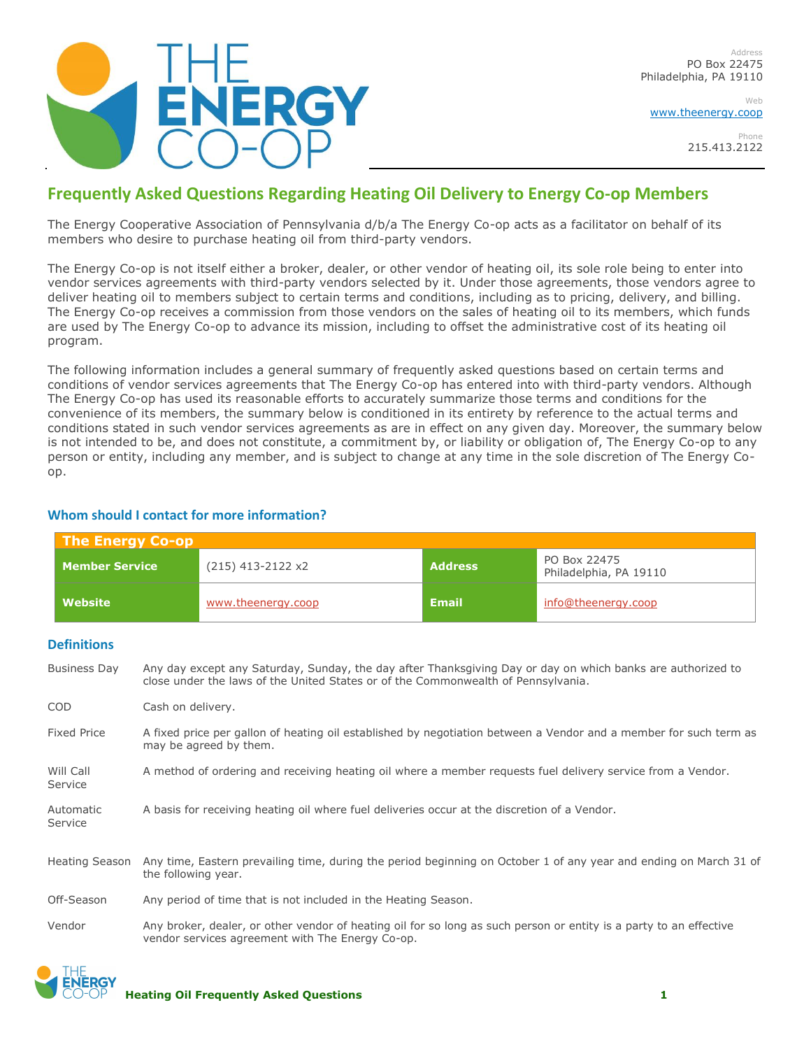

Web [www.theenergy.coop](http://www.theenergy.coop/)

> Phone 215.413.2122

## **Frequently Asked Questions Regarding Heating Oil Delivery to Energy Co-op Members**

The Energy Cooperative Association of Pennsylvania d/b/a The Energy Co-op acts as a facilitator on behalf of its members who desire to purchase heating oil from third-party vendors.

The Energy Co-op is not itself either a broker, dealer, or other vendor of heating oil, its sole role being to enter into vendor services agreements with third-party vendors selected by it. Under those agreements, those vendors agree to deliver heating oil to members subject to certain terms and conditions, including as to pricing, delivery, and billing. The Energy Co-op receives a commission from those vendors on the sales of heating oil to its members, which funds are used by The Energy Co-op to advance its mission, including to offset the administrative cost of its heating oil program.

The following information includes a general summary of frequently asked questions based on certain terms and conditions of vendor services agreements that The Energy Co-op has entered into with third-party vendors. Although The Energy Co-op has used its reasonable efforts to accurately summarize those terms and conditions for the convenience of its members, the summary below is conditioned in its entirety by reference to the actual terms and conditions stated in such vendor services agreements as are in effect on any given day. Moreover, the summary below is not intended to be, and does not constitute, a commitment by, or liability or obligation of, The Energy Co-op to any person or entity, including any member, and is subject to change at any time in the sole discretion of The Energy Coop.

# **The Energy Co-op Member Service** (215) 413-2122 x2 **Address** PO Box 22475 Philadelphia, PA 19110 **Website** [www.theenergy.coop](http://www.theenergy.coop/) **Email** [info@theenergy.coop](mailto:info@theenergy.coop) **Definitions** Business Day Any day except any Saturday, Sunday, the day after Thanksgiving Day or day on which banks are authorized to close under the laws of the United States or of the Commonwealth of Pennsylvania. COD Cash on delivery. Fixed Price A fixed price per gallon of heating oil established by negotiation between a Vendor and a member for such term as may be agreed by them. Will Call A method of ordering and receiving heating oil where a member requests fuel delivery service from a Vendor. Service Automatic A basis for receiving heating oil where fuel deliveries occur at the discretion of a Vendor. Service Heating Season Any time, Eastern prevailing time, during the period beginning on October 1 of any year and ending on March 31 of the following year. Off-Season Any period of time that is not included in the Heating Season. Vendor Any broker, dealer, or other vendor of heating oil for so long as such person or entity is a party to an effective vendor services agreement with The Energy Co-op.

### **Whom should I contact for more information?**

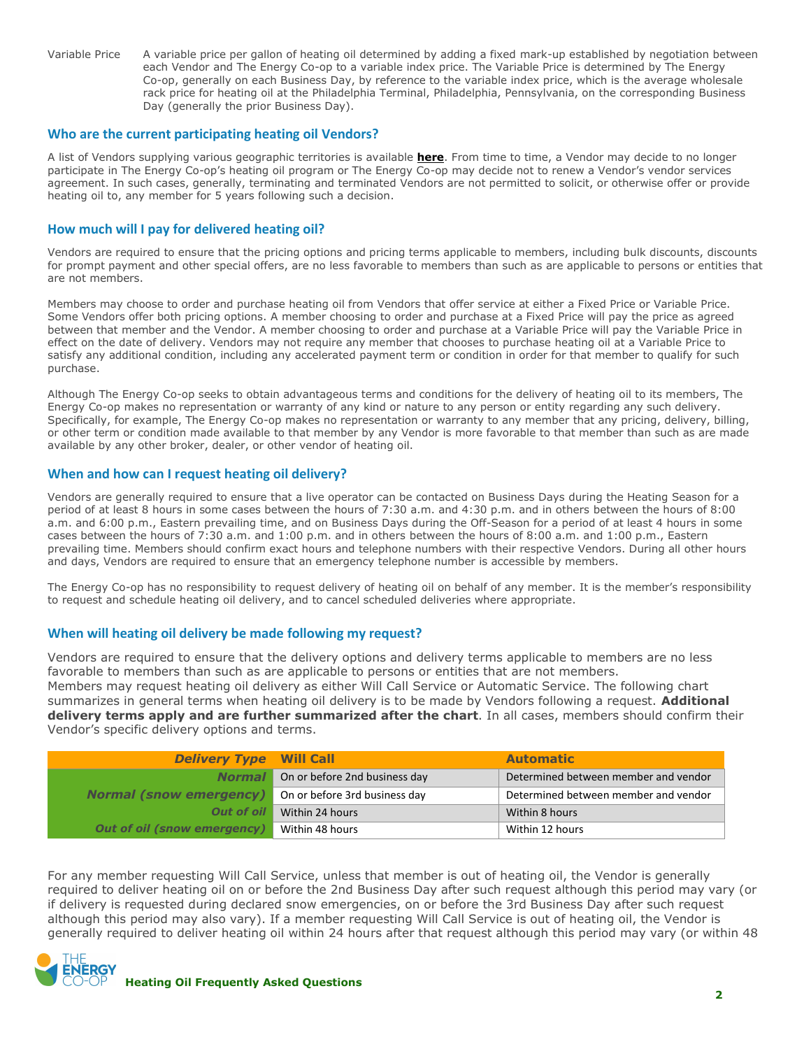Variable Price A variable price per gallon of heating oil determined by adding a fixed mark-up established by negotiation between each Vendor and The Energy Co-op to a variable index price. The Variable Price is determined by The Energy Co-op, generally on each Business Day, by reference to the variable index price, which is the average wholesale rack price for heating oil at the Philadelphia Terminal, Philadelphia, Pennsylvania, on the corresponding Business Day (generally the prior Business Day).

#### **Who are the current participating heating oil Vendors?**

A list of Vendors supplying various geographic territories is available **[here](https://www.theenergy.coop/)**. From time to time, a Vendor may decide to no longer participate in The Energy Co-op's heating oil program or The Energy Co-op may decide not to renew a Vendor's vendor services agreement. In such cases, generally, terminating and terminated Vendors are not permitted to solicit, or otherwise offer or provide heating oil to, any member for 5 years following such a decision.

#### **How much will I pay for delivered heating oil?**

Vendors are required to ensure that the pricing options and pricing terms applicable to members, including bulk discounts, discounts for prompt payment and other special offers, are no less favorable to members than such as are applicable to persons or entities that are not members.

Members may choose to order and purchase heating oil from Vendors that offer service at either a Fixed Price or Variable Price. Some Vendors offer both pricing options. A member choosing to order and purchase at a Fixed Price will pay the price as agreed between that member and the Vendor. A member choosing to order and purchase at a Variable Price will pay the Variable Price in effect on the date of delivery. Vendors may not require any member that chooses to purchase heating oil at a Variable Price to satisfy any additional condition, including any accelerated payment term or condition in order for that member to qualify for such purchase.

Although The Energy Co-op seeks to obtain advantageous terms and conditions for the delivery of heating oil to its members, The Energy Co-op makes no representation or warranty of any kind or nature to any person or entity regarding any such delivery. Specifically, for example, The Energy Co-op makes no representation or warranty to any member that any pricing, delivery, billing, or other term or condition made available to that member by any Vendor is more favorable to that member than such as are made available by any other broker, dealer, or other vendor of heating oil.

#### **When and how can I request heating oil delivery?**

Vendors are generally required to ensure that a live operator can be contacted on Business Days during the Heating Season for a period of at least 8 hours in some cases between the hours of 7:30 a.m. and 4:30 p.m. and in others between the hours of 8:00 a.m. and 6:00 p.m., Eastern prevailing time, and on Business Days during the Off-Season for a period of at least 4 hours in some cases between the hours of 7:30 a.m. and 1:00 p.m. and in others between the hours of 8:00 a.m. and 1:00 p.m., Eastern prevailing time. Members should confirm exact hours and telephone numbers with their respective Vendors. During all other hours and days, Vendors are required to ensure that an emergency telephone number is accessible by members.

The Energy Co-op has no responsibility to request delivery of heating oil on behalf of any member. It is the member's responsibility to request and schedule heating oil delivery, and to cancel scheduled deliveries where appropriate.

#### **When will heating oil delivery be made following my request?**

Vendors are required to ensure that the delivery options and delivery terms applicable to members are no less favorable to members than such as are applicable to persons or entities that are not members. Members may request heating oil delivery as either Will Call Service or Automatic Service. The following chart summarizes in general terms when heating oil delivery is to be made by Vendors following a request. **Additional delivery terms apply and are further summarized after the chart**. In all cases, members should confirm their Vendor's specific delivery options and terms.

| <b>Delivery Type Will Call</b> |                                             | <b>Automatic</b>                     |
|--------------------------------|---------------------------------------------|--------------------------------------|
|                                | <b>Normal</b> On or before 2nd business day | Determined between member and vendor |
| <b>Normal (snow emergency)</b> | On or before 3rd business day               | Determined between member and vendor |
| <b>Out of oil</b>              | Within 24 hours                             | Within 8 hours                       |
| Out of oil (snow emergency)    | Within 48 hours                             | Within 12 hours                      |

For any member requesting Will Call Service, unless that member is out of heating oil, the Vendor is generally required to deliver heating oil on or before the 2nd Business Day after such request although this period may vary (or if delivery is requested during declared snow emergencies, on or before the 3rd Business Day after such request although this period may also vary). If a member requesting Will Call Service is out of heating oil, the Vendor is generally required to deliver heating oil within 24 hours after that request although this period may vary (or within 48

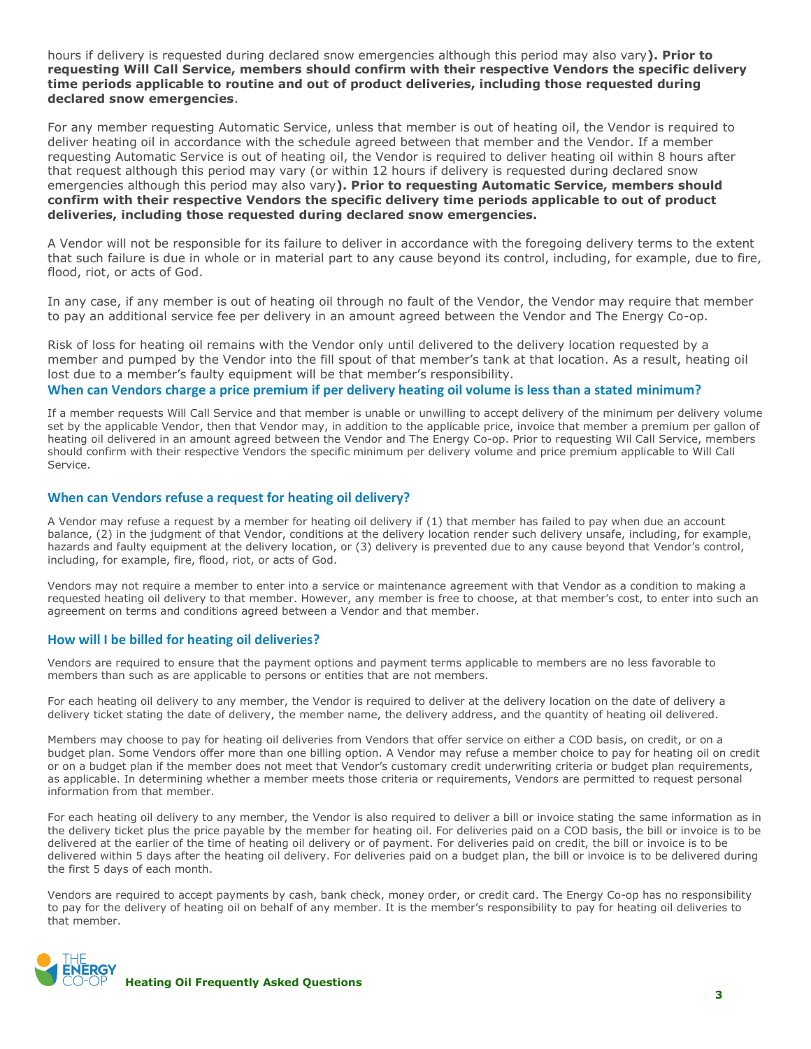hours if delivery is requested during declared snow emergencies although this period may also vary**). Prior to requesting Will Call Service, members should confirm with their respective Vendors the specific delivery time periods applicable to routine and out of product deliveries, including those requested during declared snow emergencies**.

For any member requesting Automatic Service, unless that member is out of heating oil, the Vendor is required to deliver heating oil in accordance with the schedule agreed between that member and the Vendor. If a member requesting Automatic Service is out of heating oil, the Vendor is required to deliver heating oil within 8 hours after that request although this period may vary (or within 12 hours if delivery is requested during declared snow emergencies although this period may also vary**). Prior to requesting Automatic Service, members should confirm with their respective Vendors the specific delivery time periods applicable to out of product deliveries, including those requested during declared snow emergencies.** 

A Vendor will not be responsible for its failure to deliver in accordance with the foregoing delivery terms to the extent that such failure is due in whole or in material part to any cause beyond its control, including, for example, due to fire, flood, riot, or acts of God.

In any case, if any member is out of heating oil through no fault of the Vendor, the Vendor may require that member to pay an additional service fee per delivery in an amount agreed between the Vendor and The Energy Co-op.

Risk of loss for heating oil remains with the Vendor only until delivered to the delivery location requested by a member and pumped by the Vendor into the fill spout of that member's tank at that location. As a result, heating oil lost due to a member's faulty equipment will be that member's responsibility.

#### **When can Vendors charge a price premium if per delivery heating oil volume is less than a stated minimum?**

If a member requests Will Call Service and that member is unable or unwilling to accept delivery of the minimum per delivery volume set by the applicable Vendor, then that Vendor may, in addition to the applicable price, invoice that member a premium per gallon of heating oil delivered in an amount agreed between the Vendor and The Energy Co-op. Prior to requesting Wil Call Service, members should confirm with their respective Vendors the specific minimum per delivery volume and price premium applicable to Will Call Service.

#### **When can Vendors refuse a request for heating oil delivery?**

A Vendor may refuse a request by a member for heating oil delivery if (1) that member has failed to pay when due an account balance, (2) in the judgment of that Vendor, conditions at the delivery location render such delivery unsafe, including, for example, hazards and faulty equipment at the delivery location, or (3) delivery is prevented due to any cause beyond that Vendor's control, including, for example, fire, flood, riot, or acts of God.

Vendors may not require a member to enter into a service or maintenance agreement with that Vendor as a condition to making a requested heating oil delivery to that member. However, any member is free to choose, at that member's cost, to enter into such an agreement on terms and conditions agreed between a Vendor and that member.

#### **How will I be billed for heating oil deliveries?**

Vendors are required to ensure that the payment options and payment terms applicable to members are no less favorable to members than such as are applicable to persons or entities that are not members.

For each heating oil delivery to any member, the Vendor is required to deliver at the delivery location on the date of delivery a delivery ticket stating the date of delivery, the member name, the delivery address, and the quantity of heating oil delivered.

Members may choose to pay for heating oil deliveries from Vendors that offer service on either a COD basis, on credit, or on a budget plan. Some Vendors offer more than one billing option. A Vendor may refuse a member choice to pay for heating oil on credit or on a budget plan if the member does not meet that Vendor's customary credit underwriting criteria or budget plan requirements, as applicable. In determining whether a member meets those criteria or requirements, Vendors are permitted to request personal information from that member.

For each heating oil delivery to any member, the Vendor is also required to deliver a bill or invoice stating the same information as in the delivery ticket plus the price payable by the member for heating oil. For deliveries paid on a COD basis, the bill or invoice is to be delivered at the earlier of the time of heating oil delivery or of payment. For deliveries paid on credit, the bill or invoice is to be delivered within 5 days after the heating oil delivery. For deliveries paid on a budget plan, the bill or invoice is to be delivered during the first 5 days of each month.

Vendors are required to accept payments by cash, bank check, money order, or credit card. The Energy Co-op has no responsibility to pay for the delivery of heating oil on behalf of any member. It is the member's responsibility to pay for heating oil deliveries to that member.